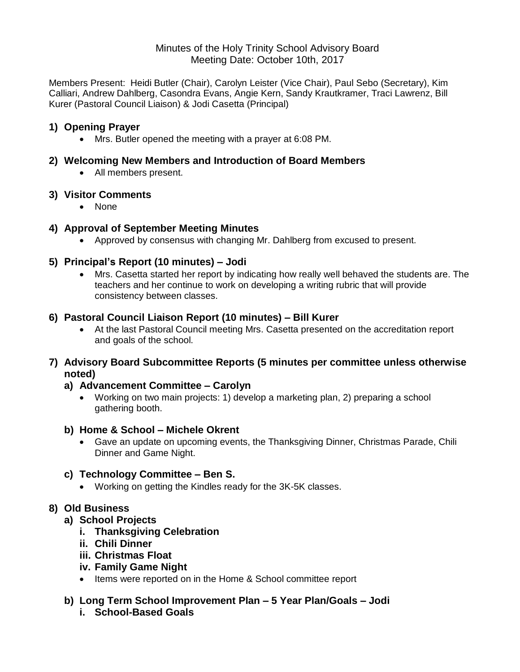#### Minutes of the Holy Trinity School Advisory Board Meeting Date: October 10th, 2017

Members Present: Heidi Butler (Chair), Carolyn Leister (Vice Chair), Paul Sebo (Secretary), Kim Calliari, Andrew Dahlberg, Casondra Evans, Angie Kern, Sandy Krautkramer, Traci Lawrenz, Bill Kurer (Pastoral Council Liaison) & Jodi Casetta (Principal)

## **1) Opening Prayer**

Mrs. Butler opened the meeting with a prayer at 6:08 PM.

#### **2) Welcoming New Members and Introduction of Board Members**

All members present.

#### **3) Visitor Comments**

• None

# **4) Approval of September Meeting Minutes**

Approved by consensus with changing Mr. Dahlberg from excused to present.

# **5) Principal's Report (10 minutes) – Jodi**

 Mrs. Casetta started her report by indicating how really well behaved the students are. The teachers and her continue to work on developing a writing rubric that will provide consistency between classes.

## **6) Pastoral Council Liaison Report (10 minutes) – Bill Kurer**

 At the last Pastoral Council meeting Mrs. Casetta presented on the accreditation report and goals of the school.

#### **7) Advisory Board Subcommittee Reports (5 minutes per committee unless otherwise noted)**

## **a) Advancement Committee – Carolyn**

 Working on two main projects: 1) develop a marketing plan, 2) preparing a school gathering booth.

## **b) Home & School – Michele Okrent**

 Gave an update on upcoming events, the Thanksgiving Dinner, Christmas Parade, Chili Dinner and Game Night.

#### **c) Technology Committee – Ben S.**

Working on getting the Kindles ready for the 3K-5K classes.

## **8) Old Business**

## **a) School Projects**

- **i. Thanksgiving Celebration**
- **ii. Chili Dinner**
- **iii. Christmas Float**
- **iv. Family Game Night**
- Items were reported on in the Home & School committee report

#### **b) Long Term School Improvement Plan – 5 Year Plan/Goals – Jodi i. School-Based Goals**